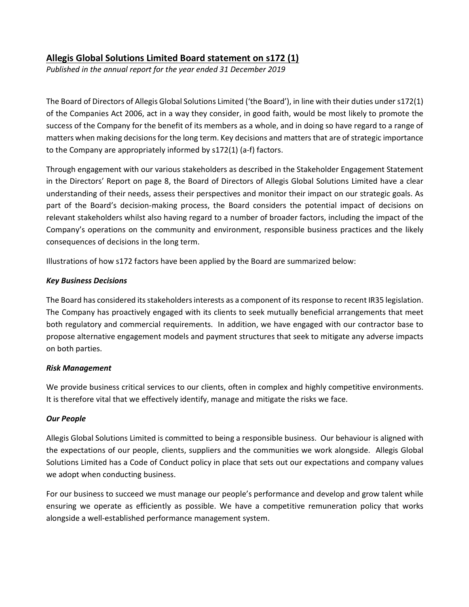# Allegis Global Solutions Limited Board statement on s172 (1)

Published in the annual report for the year ended 31 December 2019

The Board of Directors of Allegis Global Solutions Limited ('the Board'), in line with their duties under s172(1) of the Companies Act 2006, act in a way they consider, in good faith, would be most likely to promote the success of the Company for the benefit of its members as a whole, and in doing so have regard to a range of matters when making decisions for the long term. Key decisions and matters that are of strategic importance to the Company are appropriately informed by s172(1) (a-f) factors.

Through engagement with our various stakeholders as described in the Stakeholder Engagement Statement in the Directors' Report on page 8, the Board of Directors of Allegis Global Solutions Limited have a clear understanding of their needs, assess their perspectives and monitor their impact on our strategic goals. As part of the Board's decision-making process, the Board considers the potential impact of decisions on relevant stakeholders whilst also having regard to a number of broader factors, including the impact of the Company's operations on the community and environment, responsible business practices and the likely consequences of decisions in the long term.

Illustrations of how s172 factors have been applied by the Board are summarized below:

## Key Business Decisions

The Board has considered its stakeholders interests as a component of its response to recent IR35 legislation. The Company has proactively engaged with its clients to seek mutually beneficial arrangements that meet both regulatory and commercial requirements. In addition, we have engaged with our contractor base to propose alternative engagement models and payment structures that seek to mitigate any adverse impacts on both parties.

## Risk Management

We provide business critical services to our clients, often in complex and highly competitive environments. It is therefore vital that we effectively identify, manage and mitigate the risks we face.

## Our People

Allegis Global Solutions Limited is committed to being a responsible business. Our behaviour is aligned with the expectations of our people, clients, suppliers and the communities we work alongside. Allegis Global Solutions Limited has a Code of Conduct policy in place that sets out our expectations and company values we adopt when conducting business.

For our business to succeed we must manage our people's performance and develop and grow talent while ensuring we operate as efficiently as possible. We have a competitive remuneration policy that works alongside a well-established performance management system.